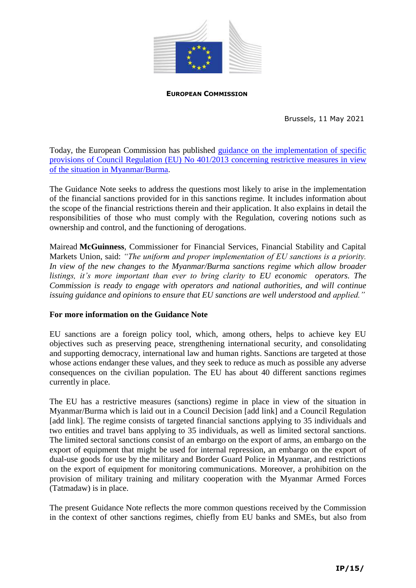

## **EUROPEAN COMMISSION**

Brussels, 11 May 2021

Today, the European Commission has published [guidance on the implementation of specific](https://ec.europa.eu/info/files/210511-restrictive-measures-myanmar-guidance-note_en)  [provisions of Council Regulation \(EU\) No 401/2013](https://ec.europa.eu/info/files/210511-restrictive-measures-myanmar-guidance-note_en) concerning restrictive measures in view [of the situation in Myanmar/Burma.](https://ec.europa.eu/info/files/210511-restrictive-measures-myanmar-guidance-note_en)

The Guidance Note seeks to address the questions most likely to arise in the implementation of the financial sanctions provided for in this sanctions regime. It includes information about the scope of the financial restrictions therein and their application. It also explains in detail the responsibilities of those who must comply with the Regulation, covering notions such as ownership and control, and the functioning of derogations.

Mairead **McGuinness**, Commissioner for Financial Services, Financial Stability and Capital Markets Union, said: *"The uniform and proper implementation of EU sanctions is a priority. In view of the new changes to the Myanmar/Burma sanctions regime which allow broader listings, it's more important than ever to bring clarity to EU economic operators. The Commission is ready to engage with operators and national authorities, and will continue issuing guidance and opinions to ensure that EU sanctions are well understood and applied."*

## **For more information on the Guidance Note**

EU sanctions are a foreign policy tool, which, among others, helps to achieve key EU objectives such as preserving peace, strengthening international security, and consolidating and supporting democracy, international law and human rights. Sanctions are targeted at those whose actions endanger these values, and they seek to reduce as much as possible any adverse consequences on the civilian population. The EU has about 40 different sanctions regimes currently in place.

The EU has a restrictive measures (sanctions) regime in place in view of the situation in Myanmar/Burma which is laid out in a Council Decision [add link] and a Council Regulation [add link]. The regime consists of targeted financial sanctions applying to 35 individuals and two entities and travel bans applying to 35 individuals, as well as limited sectoral sanctions. The limited sectoral sanctions consist of an embargo on the export of arms, an embargo on the export of equipment that might be used for internal repression, an embargo on the export of dual-use goods for use by the military and Border Guard Police in Myanmar, and restrictions on the export of equipment for monitoring communications. Moreover, a prohibition on the provision of military training and military cooperation with the Myanmar Armed Forces (Tatmadaw) is in place.

The present Guidance Note reflects the more common questions received by the Commission in the context of other sanctions regimes, chiefly from EU banks and SMEs, but also from